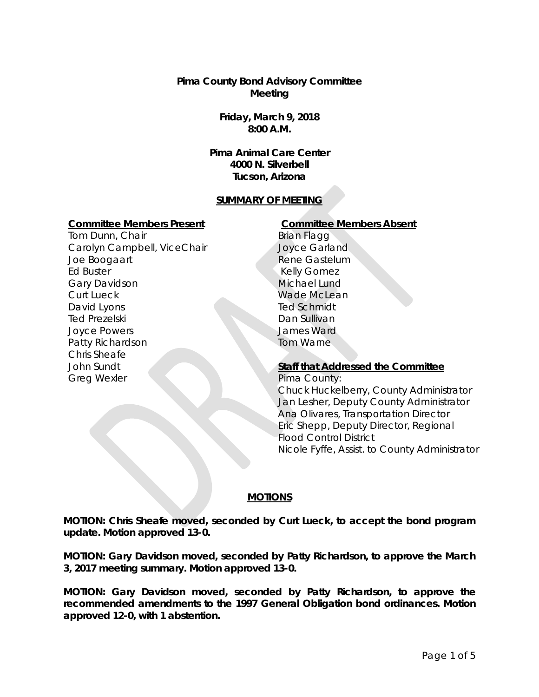**Pima County Bond Advisory Committee Meeting**

> **Friday, March 9, 2018 8:00 A.M.**

**Pima Animal Care Center 4000 N. Silverbell Tucson, Arizona**

### **SUMMARY OF MEETING**

#### **Committee Members Present Committee Members Absent**

Tom Dunn, Chair Carolyn Campbell, ViceChair Joe Boogaart Ed Buster Gary Davidson Curt Lueck David Lyons Ted Prezelski Joyce Powers Patty Richardson Chris Sheafe John Sundt Greg Wexler

Brian Flagg Joyce Garland Rene Gastelum Kelly Gomez Michael Lund Wade McLean Ted Schmidt Dan Sullivan James Ward Tom Warne

### **Staff that Addressed the Committee**

Pima County: Chuck Huckelberry, County Administrator Jan Lesher, Deputy County Administrator Ana Olivares, Transportation Director Eric Shepp, Deputy Director, Regional Flood Control District Nicole Fyffe, Assist. to County Administrator

## **MOTIONS**

**MOTION: Chris Sheafe moved, seconded by Curt Lueck, to accept the bond program update. Motion approved 13-0.** 

**MOTION: Gary Davidson moved, seconded by Patty Richardson, to approve the March 3, 2017 meeting summary. Motion approved 13-0.**

**MOTION: Gary Davidson moved, seconded by Patty Richardson, to approve the recommended amendments to the 1997 General Obligation bond ordinances. Motion approved 12-0, with 1 abstention.**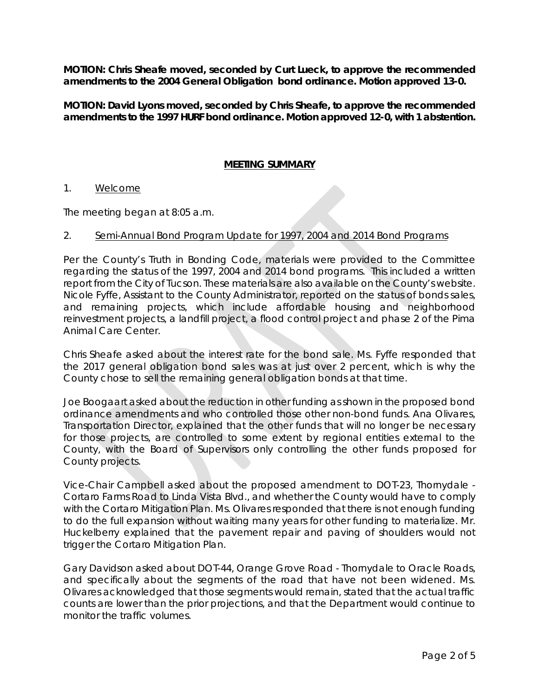**MOTION: Chris Sheafe moved, seconded by Curt Lueck, to approve the recommended amendments to the 2004 General Obligation bond ordinance. Motion approved 13-0.** 

**MOTION: David Lyons moved, seconded by Chris Sheafe, to approve the recommended amendments to the 1997 HURF bond ordinance. Motion approved 12-0, with 1 abstention.** 

## **MEETING SUMMARY**

### 1. Welcome

The meeting began at 8:05 a.m.

### 2. Semi-Annual Bond Program Update for 1997, 2004 and 2014 Bond Programs

Per the County's Truth in Bonding Code, materials were provided to the Committee regarding the status of the 1997, 2004 and 2014 bond programs. This included a written report from the City of Tucson. These materials are also available on the County's website. Nicole Fyffe, Assistant to the County Administrator, reported on the status of bonds sales, and remaining projects, which include affordable housing and neighborhood reinvestment projects, a landfill project, a flood control project and phase 2 of the Pima Animal Care Center.

Chris Sheafe asked about the interest rate for the bond sale. Ms. Fyffe responded that the 2017 general obligation bond sales was at just over 2 percent, which is why the County chose to sell the remaining general obligation bonds at that time.

Joe Boogaart asked about the reduction in other funding as shown in the proposed bond ordinance amendments and who controlled those other non-bond funds. Ana Olivares, Transportation Director, explained that the other funds that will no longer be necessary for those projects, are controlled to some extent by regional entities external to the County, with the Board of Supervisors only controlling the other funds proposed for County projects.

Vice-Chair Campbell asked about the proposed amendment to DOT-23, Thornydale - Cortaro Farms Road to Linda Vista Blvd., and whether the County would have to comply with the Cortaro Mitigation Plan. Ms. Olivares responded that there is not enough funding to do the full expansion without waiting many years for other funding to materialize. Mr. Huckelberry explained that the pavement repair and paving of shoulders would not trigger the Cortaro Mitigation Plan.

Gary Davidson asked about DOT-44, Orange Grove Road - Thornydale to Oracle Roads, and specifically about the segments of the road that have not been widened. Ms. Olivares acknowledged that those segments would remain, stated that the actual traffic counts are lower than the prior projections, and that the Department would continue to monitor the traffic volumes.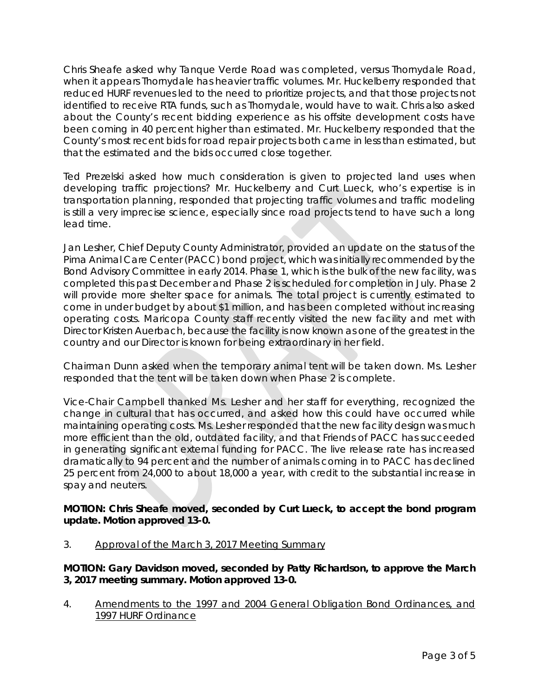Chris Sheafe asked why Tanque Verde Road was completed, versus Thornydale Road, when it appears Thornydale has heavier traffic volumes. Mr. Huckelberry responded that reduced HURF revenues led to the need to prioritize projects, and that those projects not identified to receive RTA funds, such as Thornydale, would have to wait. Chris also asked about the County's recent bidding experience as his offsite development costs have been coming in 40 percent higher than estimated. Mr. Huckelberry responded that the County's most recent bids for road repair projects both came in less than estimated, but that the estimated and the bids occurred close together.

Ted Prezelski asked how much consideration is given to projected land uses when developing traffic projections? Mr. Huckelberry and Curt Lueck, who's expertise is in transportation planning, responded that projecting traffic volumes and traffic modeling is still a very imprecise science, especially since road projects tend to have such a long lead time.

Jan Lesher, Chief Deputy County Administrator, provided an update on the status of the Pima Animal Care Center (PACC) bond project, which was initially recommended by the Bond Advisory Committee in early 2014. Phase 1, which is the bulk of the new facility, was completed this past December and Phase 2 is scheduled for completion in July. Phase 2 will provide more shelter space for animals. The total project is currently estimated to come in under budget by about \$1 million, and has been completed without increasing operating costs. Maricopa County staff recently visited the new facility and met with Director Kristen Auerbach, because the facility is now known as one of the greatest in the country and our Director is known for being extraordinary in her field.

Chairman Dunn asked when the temporary animal tent will be taken down. Ms. Lesher responded that the tent will be taken down when Phase 2 is complete.

Vice-Chair Campbell thanked Ms. Lesher and her staff for everything, recognized the change in cultural that has occurred, and asked how this could have occurred while maintaining operating costs. Ms. Lesher responded that the new facility design was much more efficient than the old, outdated facility, and that Friends of PACC has succeeded in generating significant external funding for PACC. The live release rate has increased dramatically to 94 percent and the number of animals coming in to PACC has declined 25 percent from 24,000 to about 18,000 a year, with credit to the substantial increase in spay and neuters.

# **MOTION: Chris Sheafe moved, seconded by Curt Lueck, to accept the bond program update. Motion approved 13-0.**

3. Approval of the March 3, 2017 Meeting Summary

**MOTION: Gary Davidson moved, seconded by Patty Richardson, to approve the March 3, 2017 meeting summary. Motion approved 13-0.**

4. Amendments to the 1997 and 2004 General Obligation Bond Ordinances, and 1997 HURF Ordinance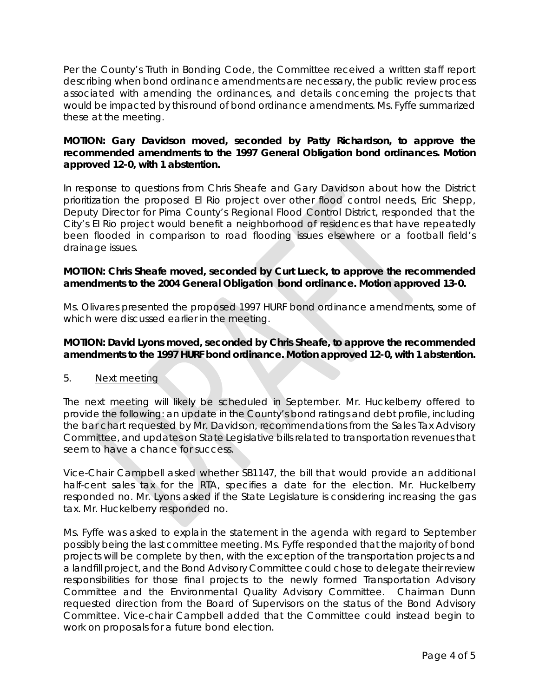Per the County's Truth in Bonding Code, the Committee received a written staff report describing when bond ordinance amendments are necessary, the public review process associated with amending the ordinances, and details concerning the projects that would be impacted by this round of bond ordinance amendments. Ms. Fyffe summarized these at the meeting.

# **MOTION: Gary Davidson moved, seconded by Patty Richardson, to approve the recommended amendments to the 1997 General Obligation bond ordinances. Motion approved 12-0, with 1 abstention.**

In response to questions from Chris Sheafe and Gary Davidson about how the District prioritization the proposed El Rio project over other flood control needs, Eric Shepp, Deputy Director for Pima County's Regional Flood Control District, responded that the City's El Rio project would benefit a neighborhood of residences that have repeatedly been flooded in comparison to road flooding issues elsewhere or a football field's drainage issues.

## **MOTION: Chris Sheafe moved, seconded by Curt Lueck, to approve the recommended amendments to the 2004 General Obligation bond ordinance. Motion approved 13-0.**

Ms. Olivares presented the proposed 1997 HURF bond ordinance amendments, some of which were discussed earlier in the meeting.

## **MOTION: David Lyons moved, seconded by Chris Sheafe, to approve the recommended amendments to the 1997 HURF bond ordinance. Motion approved 12-0, with 1 abstention.**

5. Next meeting

The next meeting will likely be scheduled in September. Mr. Huckelberry offered to provide the following: an update in the County's bond ratings and debt profile, including the bar chart requested by Mr. Davidson, recommendations from the Sales Tax Advisory Committee, and updates on State Legislative bills related to transportation revenues that seem to have a chance for success.

Vice-Chair Campbell asked whether SB1147, the bill that would provide an additional half-cent sales tax for the RTA, specifies a date for the election. Mr. Huckelberry responded no. Mr. Lyons asked if the State Legislature is considering increasing the gas tax. Mr. Huckelberry responded no.

Ms. Fyffe was asked to explain the statement in the agenda with regard to September possibly being the last committee meeting. Ms. Fyffe responded that the majority of bond projects will be complete by then, with the exception of the transportation projects and a landfill project, and the Bond Advisory Committee could chose to delegate their review responsibilities for those final projects to the newly formed Transportation Advisory Committee and the Environmental Quality Advisory Committee. Chairman Dunn requested direction from the Board of Supervisors on the status of the Bond Advisory Committee. Vice-chair Campbell added that the Committee could instead begin to work on proposals for a future bond election.